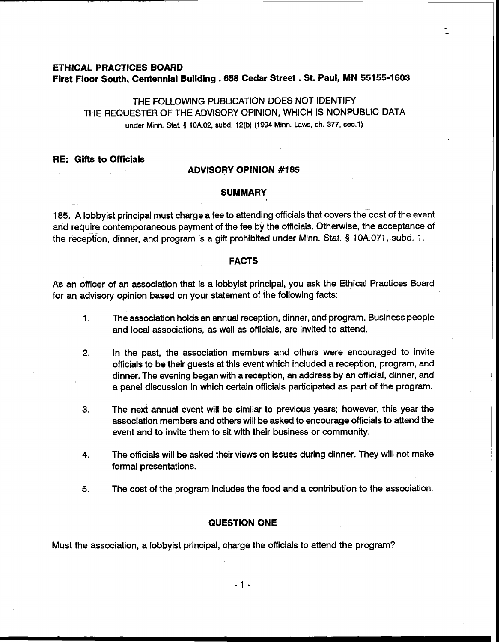# **ETHICAL PRACTICES BOARD First Floor South, Centennial Building ,658 Cedar Street** . **St. Paul, MN 551 55-1 <sup>603</sup>**

THE FOLLOWING PUBLICATION DOES NOT IDENTIFY THE REQUESTER OF THE ADVISORY OPINION, WHICH IS NONPUBLIC DATA under Minn. Stat. **5** 10A.02, subd. 12(b) (1994 Minn. Laws, ch. 377, sec.1)

**RE: Gifts to Officials** 

# **ADVISORY OPINION #I85**

## **SUMMARY**

185. A lobbyist principal must charge a fee to attending officials that covers the cost of the event and require contemporaneous payment of the fee by the officials. Otherwise, the acceptance of the reception, dinner, and program is a gift prohibited under Minn. Stat. **5** 10A.071, subd. 1.

#### **FACTS**  -<br>-

As an officer of an association that is a lobbyist principal, you ask the Ethical Practices Board for an advisory opinion based on your statement of the following facts:

- 1. The association holds an annual reception, dinner, and program. Business people and local associations, as well as officials, are invited to attend.
- **2.** In the past, the association members and others were encouraged to invite officials to be their guests at this event which included a reception, program, and dinner. The evening began with a reception, an address by an official, dinner, and a panel discussion in which certain officials participated as part of the program.
- **3.** The next annual event will be similar to previous years; however, this year the association members and others will be asked to encourage officials to attend the event and to invite them to sit with their business or community.
- **4.** The officials will be asked their views on issues during dinner. They will not make formal presentations.
- 5. The cost of the program includes the food and a contribution to the association.

# **QUESTION ONE**

Must the association, a lobbyist principal, charge the officials to attend the program?

 $-1$   $-$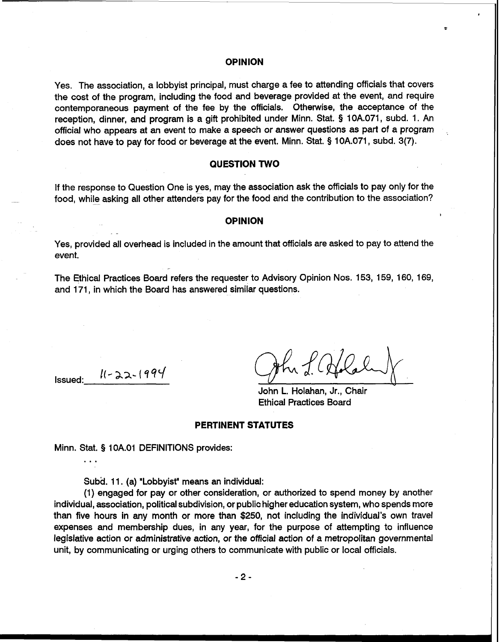#### **OPINION**

Yes. The association, a lobbyist principal, must charge a fee to attending officials that covers the cost of the program, including the food and beverage provided at the event, and require contemporaneous payment of the fee by the officials. Otherwise, the acceptance of the reception, dinner, and program is a gift prohibited under Minn. Stat. § 10A.071, subd. 1. An official who appears at an event to make a speech or answer questions as part of a program does not have to pay for food or beverage at the event. Minn. Stat. **5** 10A.071, subd. 3(7).

# **QUESTION TWO**

If the response to Question One is yes, may the association ask the officials to pay only for the food, while asking all other attenders pay for the food and the contribution to the association?

#### **OPINION**

Yes, provided all overhead is included in the amount that officials are asked to pay to attend the event.

The Ethical Practices Board refers the requester to Advisory Opinion Nos. 153, 159, 160, 169, and 171, in which the Board has answered similar questions.

Issued: I(- **aa-** ( **qqL/** -

John L. Holahan, Jr., Chair Ethical Practices Board

## **PERTINENT STATUTES**

Minn. Stat. § 1 OA.O1 DEFINITIONS provides: . . .

Subd. 11. (a) "Lobbyist" means an individual:

-

(1) engaged for pay or other consideration, or authorized to spend money by another individual, association, political subdivision, or public higher education system, who spends more than five hours in any month or more than \$250, not including the individual's own travel expenses and membership dues, in any year, for the purpose of attempting to influence legislative action or administrative action, or the official action of a metropolitan governmental unit, by communicating or urging others to communicate with public or local officials.